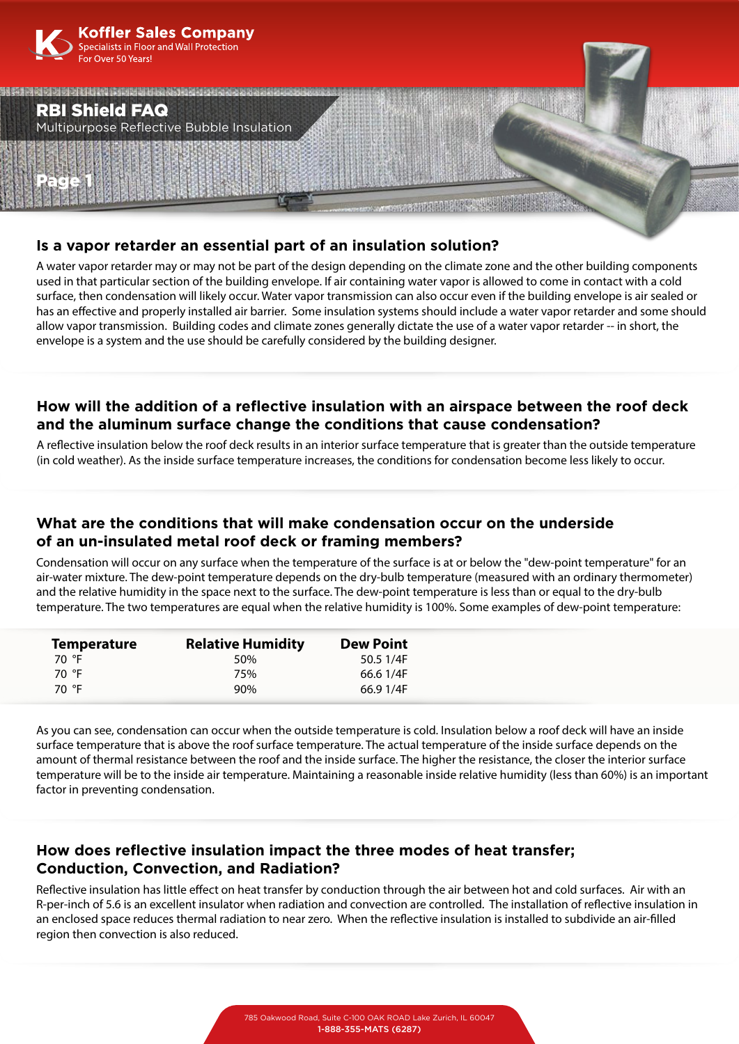

### **Is a vapor retarder an essential part of an insulation solution?**

A water vapor retarder may or may not be part of the design depending on the climate zone and the other building components used in that particular section of the building envelope. If air containing water vapor is allowed to come in contact with a cold surface, then condensation will likely occur. Water vapor transmission can also occur even if the building envelope is air sealed or has an effective and properly installed air barrier. Some insulation systems should include a water vapor retarder and some should allow vapor transmission. Building codes and climate zones generally dictate the use of a water vapor retarder -- in short, the envelope is a system and the use should be carefully considered by the building designer.

## **How will the addition of a reflective insulation with an airspace between the roof deck and the aluminum surface change the conditions that cause condensation?**

A reflective insulation below the roof deck results in an interior surface temperature that is greater than the outside temperature (in cold weather). As the inside surface temperature increases, the conditions for condensation become less likely to occur.

## **What are the conditions that will make condensation occur on the underside of an un-insulated metal roof deck or framing members?**

Condensation will occur on any surface when the temperature of the surface is at or below the "dew-point temperature" for an air-water mixture. The dew-point temperature depends on the dry-bulb temperature (measured with an ordinary thermometer) and the relative humidity in the space next to the surface. The dew-point temperature is less than or equal to the dry-bulb temperature. The two temperatures are equal when the relative humidity is 100%. Some examples of dew-point temperature:

| <b>Temperature</b> | <b>Relative Humidity</b> | <b>Dew Point</b> |
|--------------------|--------------------------|------------------|
| 70 °F              | .50%                     | 50.5 1/4F        |
| 70 °F              | 75%                      | 66.6 1/4F        |
| 70 °F              | 90%                      | 66.9 1/4F        |

As you can see, condensation can occur when the outside temperature is cold. Insulation below a roof deck will have an inside surface temperature that is above the roof surface temperature. The actual temperature of the inside surface depends on the amount of thermal resistance between the roof and the inside surface. The higher the resistance, the closer the interior surface temperature will be to the inside air temperature. Maintaining a reasonable inside relative humidity (less than 60%) is an important factor in preventing condensation.

# **How does reflective insulation impact the three modes of heat transfer; Conduction, Convection, and Radiation?**

Reflective insulation has little effect on heat transfer by conduction through the air between hot and cold surfaces. Air with an R-per-inch of 5.6 is an excellent insulator when radiation and convection are controlled. The installation of reflective insulation in an enclosed space reduces thermal radiation to near zero. When the reflective insulation is installed to subdivide an air-filled region then convection is also reduced.